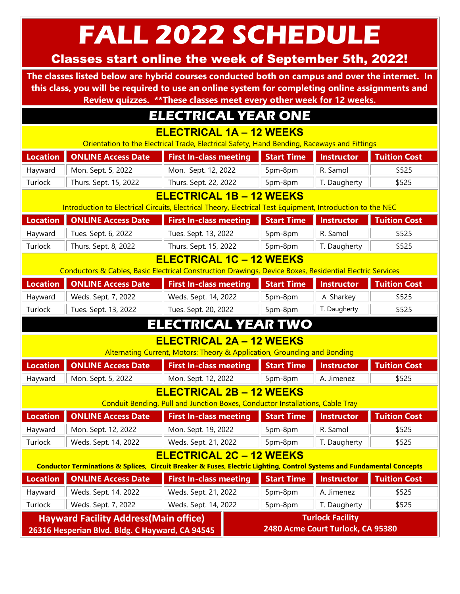FALL 2022 SCHEDULE

## Classes start online the week of September 5th, 2022!

The classes listed below are hybrid courses conducted both on campus and over the internet. In this class, you will be required to use an online system for completing online assignments and Review quizzes. \*\*These classes meet every other week for 12 weeks.

## ELECTRICAL YEAR ONE

ELECTRICAL 1A – 12 WEEKS

Orientation to the Electrical Trade, Electrical Safety, Hand Bending, Raceways and Fittings

| <b>Location</b>                                                                                                        | <b>ONLINE Access Date</b> | <b>First In-class meeting</b> | <b>Start Time</b> | <b>Instructor</b> | <b>Tuition Cost</b> |  |  |  |  |
|------------------------------------------------------------------------------------------------------------------------|---------------------------|-------------------------------|-------------------|-------------------|---------------------|--|--|--|--|
| Hayward                                                                                                                | Mon. Sept. 5, 2022        | Mon. Sept. 12, 2022           | 5pm-8pm           | R. Samol          | \$525               |  |  |  |  |
| Turlock                                                                                                                | Thurs. Sept. 15, 2022     | Thurs. Sept. 22, 2022         | 5pm-8pm           | T. Daugherty      | \$525               |  |  |  |  |
| <b>ELECTRICAL 1B - 12 WEEKS</b>                                                                                        |                           |                               |                   |                   |                     |  |  |  |  |
| Introduction to Electrical Circuits, Electrical Theory, Electrical Test Equipment, Introduction to the NEC             |                           |                               |                   |                   |                     |  |  |  |  |
| <b>Location</b>                                                                                                        | <b>ONLINE Access Date</b> | <b>First In-class meeting</b> | <b>Start Time</b> | <b>Instructor</b> | <b>Tuition Cost</b> |  |  |  |  |
| Hayward                                                                                                                | Tues. Sept. 6, 2022       | Tues. Sept. 13, 2022          | 5pm-8pm           | R. Samol          | \$525               |  |  |  |  |
| Turlock                                                                                                                | Thurs. Sept. 8, 2022      | Thurs. Sept. 15, 2022         | 5pm-8pm           | T. Daugherty      | \$525               |  |  |  |  |
| <b>ELECTRICAL 1C - 12 WEEKS</b>                                                                                        |                           |                               |                   |                   |                     |  |  |  |  |
| Conductors & Cables, Basic Electrical Construction Drawings, Device Boxes, Residential Electric Services               |                           |                               |                   |                   |                     |  |  |  |  |
| Location                                                                                                               | <b>ONLINE Access Date</b> | <b>First In-class meeting</b> | <b>Start Time</b> | <b>Instructor</b> | <b>Tuition Cost</b> |  |  |  |  |
| Hayward                                                                                                                | Weds. Sept. 7, 2022       | Weds. Sept. 14, 2022          | 5pm-8pm           | A. Sharkey        | \$525               |  |  |  |  |
| Turlock                                                                                                                | Tues. Sept. 13, 2022      | Tues. Sept. 20, 2022          | 5pm-8pm           | T. Daugherty      | \$525               |  |  |  |  |
| ELECTRICAL YEAR TWO                                                                                                    |                           |                               |                   |                   |                     |  |  |  |  |
| <b>ELECTRICAL 2A - 12 WEEKS</b>                                                                                        |                           |                               |                   |                   |                     |  |  |  |  |
| Alternating Current, Motors: Theory & Application, Grounding and Bonding                                               |                           |                               |                   |                   |                     |  |  |  |  |
| <b>Location</b>                                                                                                        | <b>ONLINE Access Date</b> | <b>First In-class meeting</b> | <b>Start Time</b> | <b>Instructor</b> | <b>Tuition Cost</b> |  |  |  |  |
| Hayward                                                                                                                | Mon. Sept. 5, 2022        | Mon. Sept. 12, 2022           | 5pm-8pm           | A. Jimenez        | \$525               |  |  |  |  |
| <b>ELECTRICAL 2B - 12 WEEKS</b>                                                                                        |                           |                               |                   |                   |                     |  |  |  |  |
| Conduit Bending, Pull and Junction Boxes, Conductor Installations, Cable Tray                                          |                           |                               |                   |                   |                     |  |  |  |  |
| Location                                                                                                               | <b>ONLINE Access Date</b> | <b>First In-class meeting</b> | <b>Start Time</b> | <b>Instructor</b> | <b>Tuition Cost</b> |  |  |  |  |
| Hayward                                                                                                                | Mon. Sept. 12, 2022       | Mon. Sept. 19, 2022           | 5pm-8pm           | R. Samol          | \$525               |  |  |  |  |
| Turlock                                                                                                                | Weds. Sept. 14, 2022      | Weds. Sept. 21, 2022          | 5pm-8pm           | T. Daugherty      | \$525               |  |  |  |  |
| <b>ELECTRICAL 2C - 12 WEEKS</b>                                                                                        |                           |                               |                   |                   |                     |  |  |  |  |
| Conductor Terminations & Splices, Circuit Breaker & Fuses, Electric Lighting, Control Systems and Fundamental Concepts |                           |                               |                   |                   |                     |  |  |  |  |
| <b>Location</b>                                                                                                        | <b>ONLINE Access Date</b> | <b>First In-class meeting</b> | <b>Start Time</b> | <b>Instructor</b> | <b>Tuition Cost</b> |  |  |  |  |
| Hayward                                                                                                                | Weds. Sept. 14, 2022      | Weds. Sept. 21, 2022          | 5pm-8pm           | A. Jimenez        | \$525               |  |  |  |  |
| Turlock                                                                                                                | Weds. Sept. 7, 2022       | Weds. Sept. 14, 2022          | 5pm-8pm           | T. Daugherty      | \$525               |  |  |  |  |
| <b>Turlock Facility</b><br><b>Hayward Facility Address (Main office)</b>                                               |                           |                               |                   |                   |                     |  |  |  |  |
| 2480 Acme Court Turlock, CA 95380<br>26316 Hesperian Blvd. Bldg. C Hayward, CA 94545                                   |                           |                               |                   |                   |                     |  |  |  |  |